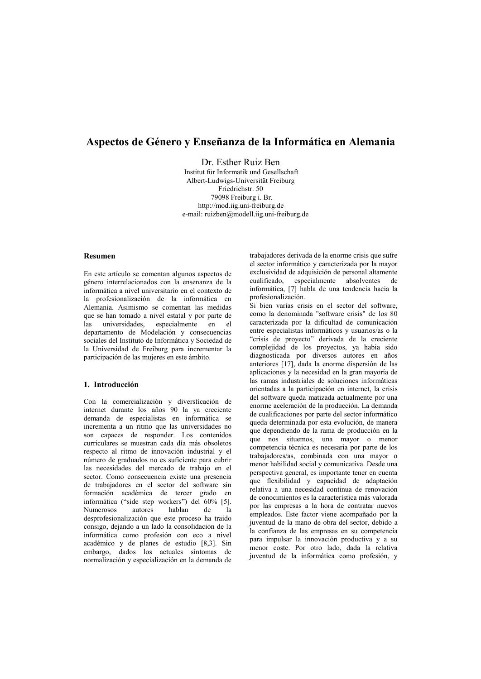# Aspectos de Género y Enseñanza de la Informática en Alemania

Dr. Esther Ruiz Ben Institut für Informatik und Gesellschaft Albert-Ludwigs-Universität Freiburg Friedrichstr. 50 79098 Freiburg i. Br. http://mod.iig.uni-freiburg.de e-mail: ruizben@modell.iig.uni-freiburg.de

## Resumen

En este artículo se comentan algunos aspectos de género interrelacionados con la ensenanza de la informática a nivel universitario en el contexto de la profesionalización de la informática en Alemania. Asimismo se comentan las medidas que se han tomado a nivel estatal y por parte de las universidades, especialmente en el departamento de Modelación y consecuencias sociales del Instituto de Informática y Sociedad de la Universidad de Freiburg para incrementar la participación de las mujeres en este ámbito.

# 1. Introducción

Con la comercialización y diversficación de internet durante los años 90 la va creciente demanda de especialistas en informática se incrementa a un ritmo que las universidades no son capaces de responder. Los contenidos curriculares se muestran cada día más obsoletos respecto al ritmo de innovación industrial y el número de graduados no es suficiente para cubrir las necesidades del mercado de trabajo en el sector. Como consecuencia existe una presencia de trabajadores en el sector del software sin formación académica de tercer grado en informática ("side step workers") del 60% [5]. **Numerosos** autores hablan  $de$  $1a$ desprofesionalización que este proceso ha traido consigo, dejando a un lado la consolidación de la informática como profesión con eco a nivel académico y de planes de estudio [8,3]. Sin embargo, dados los actuales síntomas de normalización y especialización en la demanda de

trabajadores derivada de la enorme crisis que sufre el sector informático y caracterizada por la mayor exclusividad de adquisición de personal altamente cualificado, especialmente absolventes de informática, [7] habla de una tendencia hacia la profesionalización.

Si bien varias crisis en el sector del software, como la denominada "software crisis" de los 80 caracterizada por la dificultad de comunicación entre especialistas informáticos y usuarios/as o la "crisis de proyecto" derivada de la creciente complejidad de los proyectos, ya había sido diagnosticada por diversos autores en años anteriores [17], dada la enorme dispersión de las aplicaciones y la necesidad en la gran mayoría de las ramas industriales de soluciones informáticas orientadas a la participación en internet, la crisis del software queda matizada actualmente por una enorme aceleración de la producción. La demanda de cualificaciones por parte del sector informático queda determinada por esta evolución, de manera que dependiendo de la rama de producción en la que nos situemos, una mayor o menor competencia técnica es necesaria por parte de los trabajadores/as, combinada con una mayor o menor habilidad social y comunicativa. Desde una perspectiva general, es importante tener en cuenta que flexibilidad y capacidad de adaptación relativa a una necesidad continua de renovación de conocimientos es la característica más valorada por las empresas a la hora de contratar nuevos empleados. Este factor viene acompañado por la juventud de la mano de obra del sector, debido a la confianza de las empresas en su competencia para impulsar la innovación productiva y a su menor coste. Por otro lado, dada la relativa juventud de la informática como profesión, y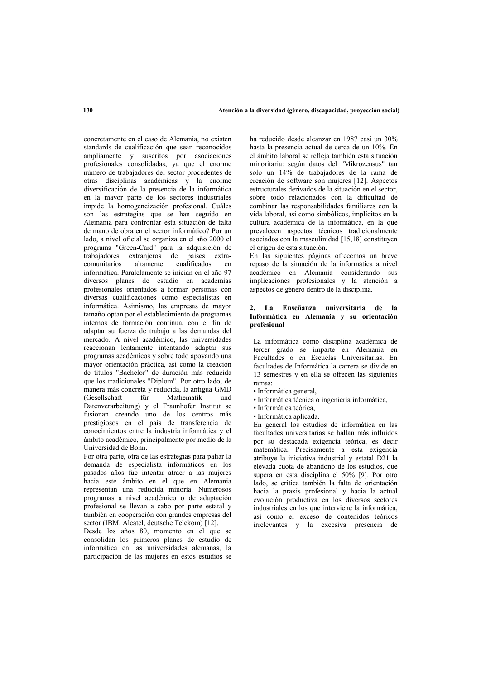concretamente en el caso de Alemania, no existen standards de cualificación que sean reconocidos ampliamente y suscritos por asociaciones profesionales consolidadas, ya que el enorme número de trabajadores del sector procedentes de otras disciplinas académicas y la enorme diversificación de la presencia de la informática en la mayor parte de los sectores industriales impide la homogeneización profesional. Cuáles son las estrategias que se han seguido en Alemania para confrontar esta situación de falta de mano de obra en el sector informático? Por un lado, a nivel oficial se organiza en el año 2000 el programa "Green-Card" para la adquisición de trabajadores extranjeros de países extracomunitarios altamente cualificados en informática. Paralelamente se inician en el año 97 diversos planes de estudio en academias profesionales orientados a formar personas con diversas cualificaciones como especialistas en informática. Asimismo, las empresas de mayor tamaño optan por el establecimiento de programas internos de formación continua, con el fin de adaptar su fuerza de trabajo a las demandas del mercado. A nivel académico, las universidades reaccionan lentamente intentando adaptar sus programas académicos y sobre todo apovando una mayor orientación práctica, asi como la creación de títulos "Bachelor" de duración más reducida que los tradicionales "Diplom". Por otro lado, de manera más concreta y reducida, la antigua GMD  $(Gesellschaff)$ fiir Mathematik  $nnd$ Datenverarbeitung) y el Fraunhofer Institut se fusionan creando uno de los centros más prestigiosos en el país de transferencia de conocimientos entre la industria informática y el ámbito académico, principalmente por medio de la Universidad de Bonn.

Por otra parte, otra de las estrategias para paliar la demanda de especialista informáticos en los pasados años fue intentar atraer a las mujeres hacia este ámbito en el que en Alemania representan una reducida minoría. Numerosos programas a nivel académico o de adaptación profesional se llevan a cabo por parte estatal y también en cooperación con grandes empresas del sector (IBM, Alcatel, deutsche Telekom) [12].

Desde los años 80, momento en el que se consolidan los primeros planes de estudio de informática en las universidades alemanas. la participación de las mujeres en estos estudios se

ha reducido desde alcanzar en 1987 casi un 30% hasta la presencia actual de cerca de un 10%. En el ámbito laboral se refleia también esta situación minoritaria: según datos del "Mikrozensus" tan solo un 14% de trabajadores de la rama de creación de software son mujeres [12]. Aspectos estructurales derivados de la situación en el sector. sobre todo relacionados con la dificultad de combinar las responsabilidades familiares con la vida laboral, así como simbólicos, implícitos en la cultura académica de la informática, en la que prevalecen aspectos técnicos tradicionalmente asociados con la masculinidad [15,18] constituyen el origen de esta situación.

En las siguientes páginas ofrecemos un breve repaso de la situación de la informática a nivel académico en Alemania considerando sus implicaciones profesionales y la atención a aspectos de género dentro de la disciplina.

#### 2. La Enseñanza universitaria de la Informática en Alemania y su orientación profesional

La informática como disciplina académica de tercer grado se imparte en Alemania en Facultades o en Escuelas Universitarias. En facultades de Informática la carrera se divide en 13 semestres y en ella se ofrecen las siguientes ramas:

- · Informática general,
- · Informática técnica o ingeniería informática,
- · Informática teórica.
- · Informática aplicada.

En general los estudios de informática en las facultades universitarias se hallan más influidos por su destacada exigencia teórica, es decir matemática. Precisamente a esta exigencia atribuye la iniciativa industrial y estatal D21 la elevada cuota de abandono de los estudios, que supera en esta disciplina el 50% [9]. Por otro lado, se critica también la falta de orientación hacia la praxis profesional y hacia la actual evolución productiva en los diversos sectores industriales en los que interviene la informática, asi como el exceso de contenidos teóricos irrelevantes y la excesiva presencia de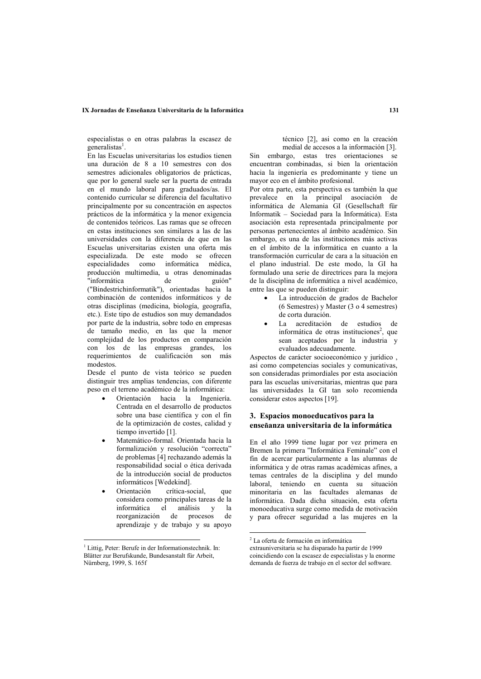#### IX Jornadas de Enseñanza Universitaria de la Informática

especialistas o en otras palabras la escasez de  $g$ eneralistas<sup>1</sup>

En las Escuelas universitarias los estudios tienen una duración de 8 a 10 semestres con dos semestres adicionales obligatorios de prácticas. que por lo general suele ser la puerta de entrada en el mundo laboral para graduados/as. El contenido curricular se diferencia del facultativo principalmente por su concentración en aspectos prácticos de la informática y la menor exigencia de contenidos teóricos. Las ramas que se ofrecen en estas instituciones son similares a las de las universidades con la diferencia de que en las Escuelas universitarias existen una oferta más especializada. De este modo se ofrecen especialidades como informática médica, producción multimedia, u otras denominadas 'informática de guión" ("Bindestrichinformatik"), orientadas hacia la combinación de contenidos informáticos y de otras disciplinas (medicina, biología, geografía, etc.). Este tipo de estudios son muy demandados por parte de la industria, sobre todo en empresas de tamaño medio, en las que la menor complejidad de los productos en comparación con los de las empresas grandes, los requerimientos de cualificación son más modestos.

Desde el punto de vista teórico se pueden distinguir tres amplias tendencias, con diferente peso en el terreno académico de la informática:

- Orientación hacia la Ingeniería. Centrada en el desarrollo de productos sobre una base científica y con el fin de la optimización de costes, calidad y tiempo invertido [1].
- Matemático-formal. Orientada hacia la formalización y resolución "correcta" de problemas [4] rechazando además la responsabilidad social o ética derivada de la introducción social de productos informáticos [Wedekind].
- Orientación crítica-social, que considera como principales tareas de la informática el análisis y la reorganización de procesos de aprendizaje y de trabajo y su apoyo

técnico [2], así como en la creación medial de accesos a la información [3].

Sin embargo, estas tres orientaciones se encuentran combinadas, si bien la orientación hacia la ingeniería es predominante y tiene un mayor eco en el ámbito profesional.

Por otra parte, esta perspectiva es también la que prevalece en la principal asociación de informática de Alemania GI (Gesellschaft für Informatik - Sociedad para la Informática). Esta asociación esta representada principalmente por personas pertenecientes al ámbito académico. Sin embargo, es una de las instituciones más activas en el ámbito de la informática en cuanto a la transformación curricular de cara a la situación en el plano industrial. De este modo, la GI ha formulado una serie de directrices para la mejora de la disciplina de informática a nivel académico. entre las que se pueden distinguir:

- La introducción de grados de Bachelor  $(6$  Semestres) y Master  $(3 \circ 4$  semestres) de corta duración.
- · La acreditación de estudios de informática de otras instituciones<sup>2</sup>, que sean aceptados por la industria y evaluados adecuadamente.

Aspectos de carácter socioeconómico y jurídico, asi como competencias sociales y comunicativas, son consideradas primordiales por esta asociación para las escuelas universitarias, mientras que para las universidades la GI tan solo recomienda considerar estos aspectos [19].

## 3. Espacios monoeducativos para la enseñanza universitaria de la informática

En el año 1999 tiene lugar por vez primera en Bremen la primera "Informática Feminale" con el fin de acercar particularmente a las alumnas de informática y de otras ramas académicas afines, a temas centrales de la disciplina y del mundo laboral, teniendo en cuenta su situación minoritaria en las facultades alemanas de informática. Dada dicha situación, esta oferta monoeducativa surge como medida de motivación y para ofrecer seguridad a las mujeres en la

<sup>&</sup>lt;sup>1</sup> Littig. Peter: Berufe in der Informationstechnik. In: Blätter zur Berufskunde, Bundesanstalt für Arbeit, Nürnberg, 1999, S. 165f

<sup>&</sup>lt;sup>2</sup> La oferta de formación en informática

extrauniversitaria se ha disparado ha partir de 1999 coincidiendo con la escasez de especialistas y la enorme demanda de fuerza de trabajo en el sector del software.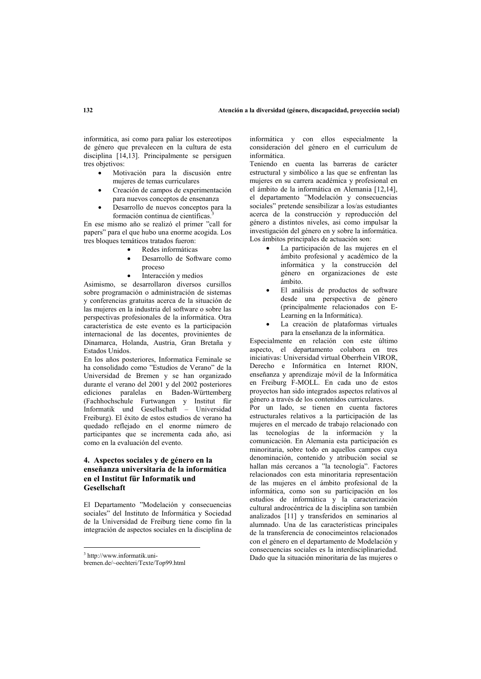informática, así como para paliar los estereotipos de género que prevalecen en la cultura de esta disciplina  $[14.13]$ . Principalmente se persiguen tres objetivos:

- Motivación para la discusión entre  $\bullet$ mujeres de temas curriculares
- Creación de campos de experimentación para nuevos conceptos de ensenanza
- Desarrollo de nuevos conceptos para la formación continua de científicas.

En ese mismo año se realizó el primer "call for papers" para el que hubo una enorme acogida. Los tres bloques temáticos tratados fueron:

- Redes informáticas
- Desarrollo de Software como proceso
- Interacción y medios

Asimismo, se desarrollaron diversos cursillos sobre programación o administración de sistemas y conferencias gratuitas acerca de la situación de las mujeres en la industria del software o sobre las perspectivas profesionales de la informática. Otra característica de este evento es la participación internacional de las docentes, provinientes de Dinamarca, Holanda, Austria, Gran Bretaña v Estados Unidos.

En los años posteriores, Informatica Feminale se ha consolidado como "Estudios de Verano" de la Universidad de Bremen y se han organizado durante el verano del 2001 y del 2002 posteriores ediciones paralelas en Baden-Württemberg (Fachhochschule Furtwangen y Institut für Informatik und Gesellschaft - Universidad Freiburg). El éxito de estos estudios de verano ha quedado reflejado en el enorme número de participantes que se incrementa cada año, asi como en la evaluación del evento.

# 4. Aspectos sociales y de género en la enseñanza universitaria de la informática en el Institut für Informatik und Gesellschaft

El Departamento "Modelación y consecuencias sociales" del Instituto de Informática y Sociedad de la Universidad de Freiburg tiene como fin la integración de aspectos sociales en la disciplina de

informática y con ellos especialmente la consideración del género en el curriculum de informática

Teniendo en cuenta las barreras de carácter estructural y simbólico a las que se enfrentan las mujeres en su carrera académica y profesional en el ámbito de la informática en Alemania [12,14], el departamento "Modelación y consecuencias sociales" pretende sensibilizar a los/as estudiantes acerca de la construcción y reproducción del género a distintos niveles, así como impulsar la investigación del género en y sobre la informática. Los ámbitos principales de actuación son:

- La participación de las mujeres en el ámbito profesional y académico de la informática y la construcción del género en organizaciones de este ámbito
- El análisis de productos de software desde una perspectiva de género (principalmente relacionados con E-Learning en la Informática).
- La creación de plataformas virtuales para la enseñanza de la informática.

Especialmente en relación con este último aspecto, el departamento colabora en tres iniciativas: Universidad virtual Oberrhein VIROR. Derecho e Informática en Internet RION, enseñanza y aprendizaje móvil de la Informática en Freiburg F-MOLL. En cada uno de estos proyectos han sido integrados aspectos relativos al género a través de los contenidos curriculares.

Por un lado, se tienen en cuenta factores estructurales relativos a la participación de las mujeres en el mercado de trabajo relacionado con las tecnologías de la información y la comunicación. En Alemania esta participación es minoritaria, sobre todo en aquellos campos cuya denominación, contenido y atribución social se hallan más cercanos a "la tecnología". Factores relacionados con esta minoritaria representación de las muieres en el ámbito profesional de la informática, como son su participación en los estudios de informática y la caracterización cultural androcéntrica de la disciplina son también analizados [11] y transferidos en seminarios al alumnado. Una de las características principales de la transferencia de conocimeintos relacionados con el género en el departamento de Modelación y consecuencias sociales es la interdisciplinariedad. Dado que la situación minoritaria de las mujeres o

<sup>&</sup>lt;sup>3</sup> http://www.informatik.uni-

bremen.de/~oechteri/Texte/Top99.html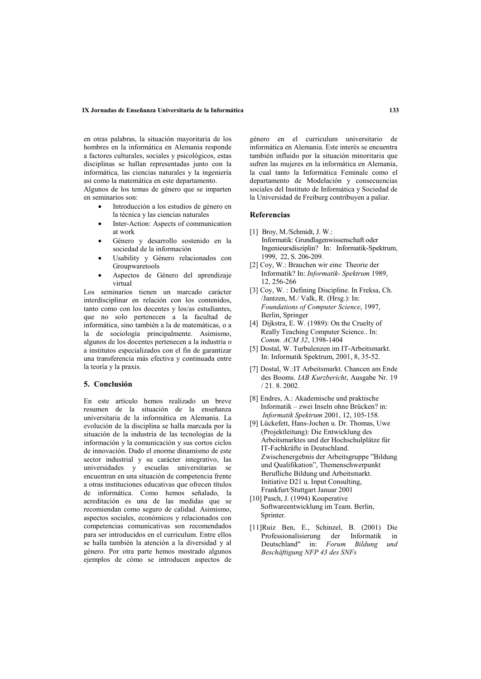#### IX Jornadas de Enseñanza Universitaria de la Informática

en otras palabras, la situación mayoritaria de los hombres en la informática en Alemania responde a factores culturales, sociales y psicológicos, estas disciplinas se hallan representadas junto con la informática, las ciencias naturales y la ingeniería asi como la matemática en este departamento. Algunos de los temas de género que se imparten en seminarios son:

- Introducción a los estudios de género en la técnica y las ciencias naturales
- Inter-Action: Aspects of communication  $\bullet$ at work
- Género y desarrollo sostenido en la sociedad de la información
- Usability y Género relacionados con Groupwaretools
- Aspectos de Género del aprendizaje virtual

Los seminarios tienen un marcado carácter interdisciplinar en relación con los contenidos, tanto como con los docentes y los/as estudiantes, que no solo pertenecen a la facultad de informática, sino también a la de matemáticas, o a la de sociología principalmente. Asimismo, algunos de los docentes pertenecen a la industria o a institutos especializados con el fin de garantizar una transferencia más efectiva y continuada entre la teoría y la praxis.

#### 5. Conclusión

En este artículo hemos realizado un breve resumen de la situación de la enseñanza universitaria de la informática en Alemania. La evolución de la disciplina se halla marcada por la situación de la industria de las tecnologías de la información y la comunicación y sus cortos ciclos de innovación. Dado el enorme dinamismo de este sector industrial y su carácter integrativo, las universidades y escuelas universitarias se encuentran en una situación de competencia frente a otras instituciones educativas que ofrecen títulos de informática. Como hemos señalado, la acreditación es una de las medidas que se recomiendan como seguro de calidad. Asimismo, aspectos sociales, económicos y relacionados con competencias comunicativas son recomendados para ser introducidos en el curriculum. Entre ellos se halla también la atención a la diversidad y al género. Por otra parte hemos mostrado algunos ejemplos de cómo se introducen aspectos de género en el curriculum universitario de informática en Alemania. Este interés se encuentra también influido por la situación minoritaria que sufren las mujeres en la informática en Alemania, la cual tanto la Informática Feminale como el departamento de Modelación y consecuencias sociales del Instituto de Informática y Sociedad de la Universidad de Freiburg contribuyen a paliar.

## **Referencias**

- [1] Broy, M./Schmidt. J. W.: Informatik: Grundlagenwissenschaft oder Ingenieursdisziplin? In: Informatik-Spektrum, 1999. 22. S. 206-209.
- [2] Cov. W.: Brauchen wir eine Theorie der Informatik? In: Informatik- Spektrum 1989, 12.256-266
- [3] Cov. W.: Defining Discipline. In Freksa. Ch. /Jantzen, M./ Valk, R. (Hrsg.): In: Foundations of Computer Science, 1997, Berlin, Springer
- [4] Dijkstra, E. W. (1989): On the Cruelty of Really Teaching Computer Science.. In: Comm. ACM 32, 1398-1404
- [5] Dostal, W. Turbulenzen im IT-Arbeitsmarkt. In: Informatik Spektrum, 2001, 8, 35-52.
- [7] Dostal, W.: IT Arbeitsmarkt. Chancen am Ende des Booms. IAB Kurzbericht, Ausgabe Nr. 19  $/21.8.2002.$
- [8] Endres, A.: Akademische und praktische Informatik - zwei Inseln ohne Brücken? in: Informatik Spektrum 2001, 12, 105-158.
- [9] Lückefett, Hans-Jochen u. Dr. Thomas, Uwe (Projektleitung): Die Entwicklung des Arbeitsmarktes und der Hochschulplätze für IT-Fachkräfte in Deutschland. Zwischenergebnis der Arbeitsgruppe "Bildung und Qualifikation". Themenschwerpunkt Berufliche Bildung und Arbeitsmarkt. Initiative D21 u. Input Consulting, Frankfurt/Stuttgart Januar 2001
- [10] Pasch, J. (1994) Kooperative Softwareentwicklung im Team. Berlin, Sprinter.
- [11]Ruiz Ben, E., Schinzel, B. (2001) Die Professionalisierung der Informatik  $\mathbf{in}$ Deutschland" in: Forum Bildung und Beschäftigung NFP 43 des SNFs